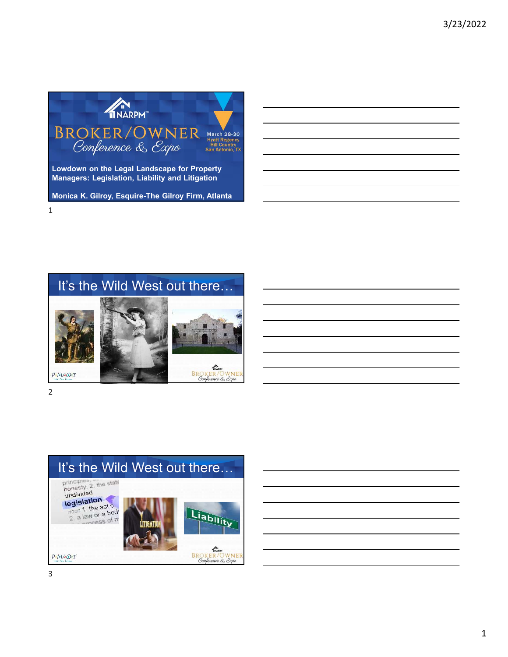

### It's the Wild West out there…



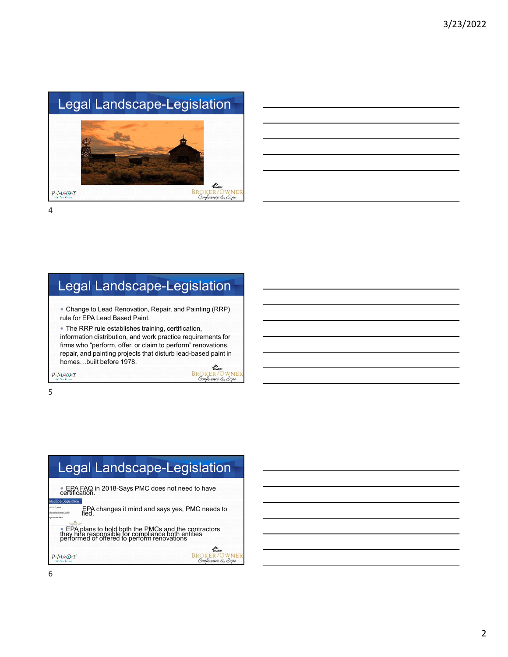## Legal Landscape-Legislation



4

## Legal Landscape-Legislation

 Change to Lead Renovation, Repair, and Painting (RRP) rule for EPA Lead Based Paint.

 The RRP rule establishes training, certification, information distribution, and work practice requirements for firms who "perform, offer, or claim to perform" renovations, repair, and painting projects that disturb lead-based paint in homes…built before 1978.

**BROKER/OWNER**<br>Conference & Expo

 $P - I - V - O - T$ 

5

### Legal Landscape-Legislation EPA FAQ in 2018-Says PMC does not need to have<br>certification.<br>certification. EPA changes it mind and says yes, PMC needs to fied. **EPA plans to hold both the PMCs and the contractors they hire responsible for compliance both entities performed or offered to perform renovations** THARPH  $P - I - V - O - T$ **BROKER/OWNER**<br>Conference & Expo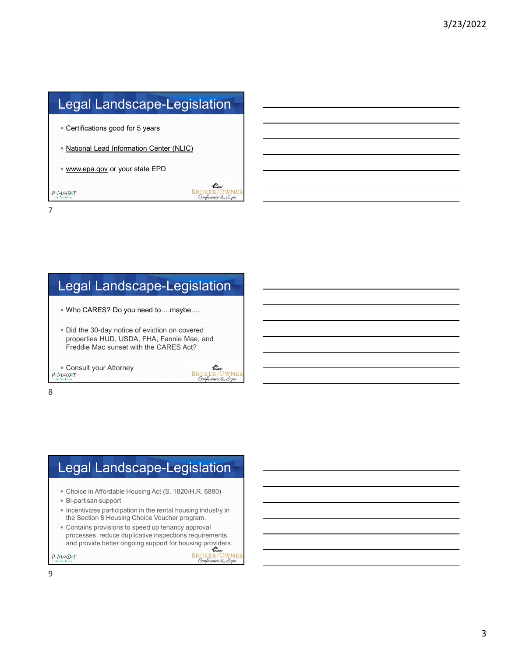## Legal Landscape-Legislation

- Certifications good for 5 years
- National Lead Information Center (NLIC)
- www.epa.gov or your state EPD

7

 $P+1-V+O+T$ 

#### Legal Landscape-Legislation

- Who CARES? Do you need to….maybe….
- Did the 30-day notice of eviction on covered properties HUD, USDA, FHA, Fannie Mae, and Freddie Mac sunset with the CARES Act?
- Consult your Attorney



**ENGINEER**<br>BROKER/OWNER<br>Conference & Expo

8

# Legal Landscape-Legislation

- Choice in Affordable Housing Act (S. 1820/H.R. 6880)
- Bi-partisan support
- Incentivizes participation in the rental housing industry in the Section 8 Housing Choice Voucher program.
- Contains provisions to speed up tenancy approval processes, reduce duplicative inspections requirements and provide better ongoing support for housing providers.<br>  $\frac{1}{2}$ <br>  $\frac{BROKRENOWNER}{\text{ComplexER}}$

 $P-I-V+O+T$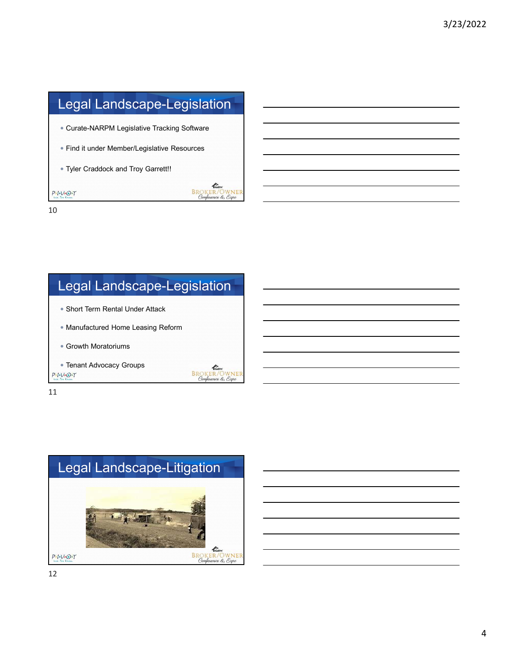# Legal Landscape-Legislation

- Curate-NARPM Legislative Tracking Software
- Find it under Member/Legislative Resources
- Tyler Craddock and Troy Garrett!!

10

 $P+1-V+O+T$ 

# Legal Landscape-Legislation

- Short Term Rental Under Attack
- Manufactured Home Leasing Reform
- Growth Moratoriums
- Tenant Advocacy Groups  $P-I-V+O+T$



**SECONDER**<br>BROKER/OWNER<br>Conference & Expo

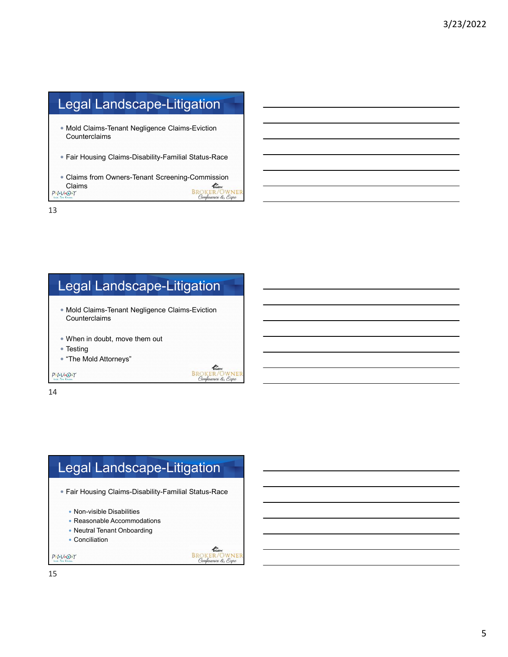# Legal Landscape-Litigation

- Mold Claims-Tenant Negligence Claims-Eviction Counterclaims
- Fair Housing Claims-Disability-Familial Status-Race
- Claims from Owners-Tenant Screening-Commission<br>Claims<br>PROKER/OWNER<br>Attent<br>Attent Confeence & Expo Claims

13

## Legal Landscape-Litigation

- Mold Claims-Tenant Negligence Claims-Eviction Counterclaims
- When in doubt, move them out
- Testing
- "The Mold Attorneys"

 $P-I-V+O+T$ 

**BROKER/OWNER**<br>Conference & Exno

14

#### Legal Landscape-Litigation Fair Housing Claims-Disability-Familial Status-Race • Non-visible Disabilities • Reasonable Accommodations Neutral Tenant Onboarding • Conciliation THARP  $P+I+V+O+T$ **BROKER/OWNER**<br>Conference & Expo

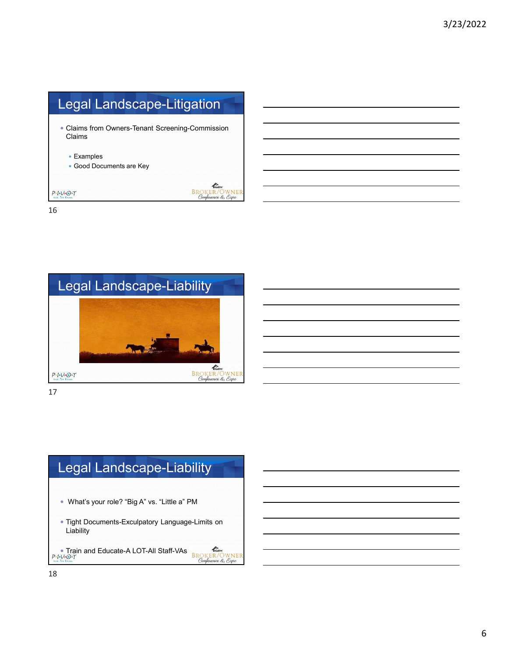# Legal Landscape-Litigation

 Claims from Owners-Tenant Screening-Commission Claims

**SALLACER**<br>BROKER/OWNER<br>Conference & Expo

- Examples
- Good Documents are Key

 $P - I - V - O - T$ 16